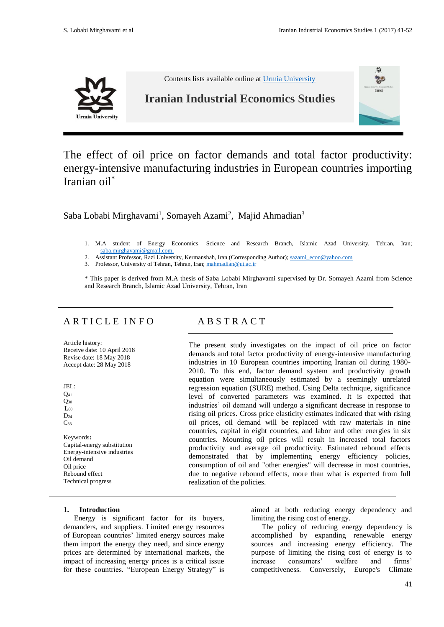嵒 2  $($ HES)



Contents lists available online at [Urmia University](http://iies.urmia.ac.ir/)

# **Iranian Industrial Economics Studies**

The effect of oil price on factor demands and total factor productivity: energy-intensive manufacturing industries in European countries importing Iranian oil\*

Saba Lobabi Mirghavami<sup>1</sup>, Somayeh Azami<sup>2</sup>, Majid Ahmadian<sup>3</sup>

- 1. M.A student of Energy Economics, Science and Research Branch, Islamic Azad University, Tehran, Iran; [saba.mirghavami@gmail.com.](mailto:saba.mirghavami@gmail.com)
- 2. Assistant Professor, Razi University, Kermanshah, Iran (Corresponding Author); [sazami\\_econ@yahoo.com](mailto:sazami_econ@yahoo.com)
- 3. Professor, University of Tehran, Tehran, Iran[; mahmadian@ut.ac.ir](mailto:mahmadian@ut.ac.ir)

\* This paper is derived from M.A thesis of Saba Lobabi Mirghavami supervised by Dr. Somayeh Azami from Science and Research Branch, Islamic Azad University, Tehran, Iran

# A R T I C L E I N F O A B S T R A C T

Article history: Receive date: 10 April 2018 Revise date: 18 May 2018 Accept date: 28 May 2018

JEL: Q<sup>41</sup>  $Q_{30}$  $L_{60}$  $D_{24}$  $C_{33}$ Keywords**:** Capital-energy substitution Energy-intensive industries Oil demand Oil price Rebound effect Technical progress

The present study investigates on the impact of oil price on factor demands and total factor productivity of energy-intensive manufacturing industries in 10 European countries importing Iranian oil during 1980- 2010. To this end, factor demand system and productivity growth equation were simultaneously estimated by a seemingly unrelated regression equation (SURE) method. Using Delta technique, significance level of converted parameters was examined. It is expected that industries' oil demand will undergo a significant decrease in response to rising oil prices. Cross price elasticity estimates indicated that with rising oil prices, oil demand will be replaced with raw materials in nine countries, capital in eight countries, and labor and other energies in six countries. Mounting oil prices will result in increased total factors productivity and average oil productivity. Estimated rebound effects demonstrated that by implementing energy efficiency policies, consumption of oil and "other energies" will decrease in most countries, due to negative rebound effects, more than what is expected from full realization of the policies.

# **1. Introduction**

Energy is significant factor for its buyers, demanders, and suppliers. Limited energy resources of European countries' limited energy sources make them import the energy they need, and since energy prices are determined by international markets, the impact of increasing energy prices is a critical issue for these countries. "European Energy Strategy" is

aimed at both reducing energy dependency and limiting the rising cost of energy.

The policy of reducing energy dependency is accomplished by expanding renewable energy sources and increasing energy efficiency. The purpose of limiting the rising cost of energy is to increase consumers' welfare and firms' competitiveness. Conversely, Europe's Climate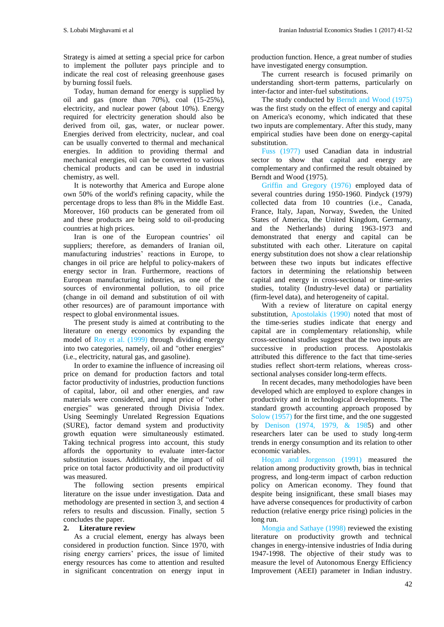Strategy is aimed at setting a special price for carbon to implement the polluter pays principle and to indicate the real cost of releasing greenhouse gases by burning fossil fuels.

Today, human demand for energy is supplied by oil and gas (more than 70%), coal (15-25%), electricity, and nuclear power (about 10%). Energy required for electricity generation should also be derived from oil, gas, water, or nuclear power. Energies derived from electricity, nuclear, and coal can be usually converted to thermal and mechanical energies. In addition to providing thermal and mechanical energies, oil can be converted to various chemical products and can be used in industrial chemistry, as well.

It is noteworthy that America and Europe alone own 50% of the world's refining capacity, while the percentage drops to less than 8% in the Middle East. Moreover, 160 products can be generated from oil and these products are being sold to oil-producing countries at high prices.

Iran is one of the European countries' oil suppliers; therefore, as demanders of Iranian oil, manufacturing industries' reactions in Europe, to changes in oil price are helpful to policy-makers of energy sector in Iran. Furthermore, reactions of European manufacturing industries, as one of the sources of environmental pollution, to oil price (change in oil demand and substitution of oil with other resources) are of paramount importance with respect to global environmental issues.

The present study is aimed at contributing to the literature on energy economics by expanding the model of Roy et al. (1999) through dividing energy into two categories, namely, oil and "other energies" (i.e., electricity, natural gas, and gasoline).

In order to examine the influence of increasing oil price on demand for production factors and total factor productivity of industries, production functions of capital, labor, oil and other energies, and raw materials were considered, and input price of "other energies" was generated through Divisia Index. Using Seemingly Unrelated Regression Equations (SURE), factor demand system and productivity growth equation were simultaneously estimated. Taking technical progress into account, this study affords the opportunity to evaluate inter-factor substitution issues. Additionally, the impact of oil price on total factor productivity and oil productivity was measured.

The following section presents empirical literature on the issue under investigation. Data and methodology are presented in section 3, and section 4 refers to results and discussion. Finally, section 5 concludes the paper.

# **2. Literature review**

As a crucial element, energy has always been considered in production function. Since 1970, with rising energy carriers' prices, the issue of limited energy resources has come to attention and resulted in significant concentration on energy input in

production function. Hence, a great number of studies have investigated energy consumption.

The current research is focused primarily on understanding short-term patterns, particularly on inter-factor and inter-fuel substitutions.

The study conducted by Berndt and Wood (1975) was the first study on the effect of energy and capital on America's economy, which indicated that these two inputs are complementary. After this study, many empirical studies have been done on energy-capital substitution.

Fuss (1977) used Canadian data in industrial sector to show that capital and energy are complementary and confirmed the result obtained by Berndt and Wood (1975).

Griffin and Gregory (1976) employed data of several countries during 1950-1960. Pindyck (1979) collected data from 10 countries (i.e., Canada, France, Italy, Japan, Norway, Sweden, the United States of America, the United Kingdom, Germany, and the Netherlands) during 1963-1973 and demonstrated that energy and capital can be substituted with each other. Literature on capital energy substitution does not show a clear relationship between these two inputs but indicates effective factors in determining the relationship between capital and energy in cross-sectional or time-series studies, totality (Industry-level data) or partiality (firm-level data), and heterogeneity of capital.

With a review of literature on capital energy substitution, Apostolakis (1990) noted that most of the time-series studies indicate that energy and capital are in complementary relationship, while cross-sectional studies suggest that the two inputs are successive in production process. Apostolakis attributed this difference to the fact that time-series studies reflect short-term relations, whereas crosssectional analyses consider long-term effects.

In recent decades, many methodologies have been developed which are employed to explore changes in productivity and in technological developments. The standard growth accounting approach proposed by Solow (1957) for the first time, and the one suggested by Denison (1974, 1979, & 1985) and other researchers later can be used to study long-term trends in energy consumption and its relation to other economic variables.

Hogan and Jorgenson (1991) measured the relation among productivity growth, bias in technical progress, and long-term impact of carbon reduction policy on American economy. They found that despite being insignificant, these small biases may have adverse consequences for productivity of carbon reduction (relative energy price rising) policies in the long run.

Mongia and Sathaye (1998) reviewed the existing literature on productivity growth and technical changes in energy-intensive industries of India during 1947-1998. The objective of their study was to measure the level of Autonomous Energy Efficiency Improvement (AEEI) parameter in Indian industry.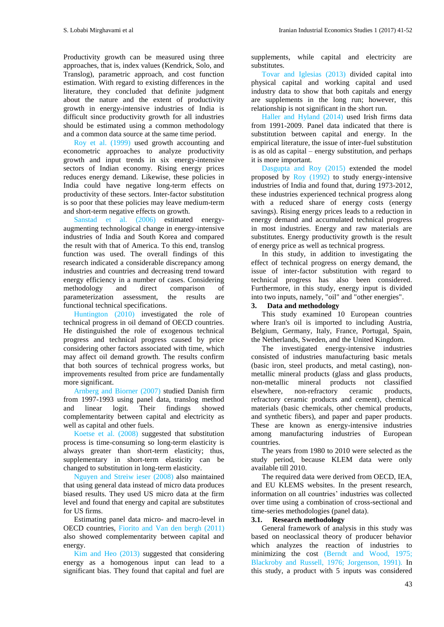Productivity growth can be measured using three approaches, that is, index values (Kendrick, Solo, and Translog), parametric approach, and cost function estimation. With regard to existing differences in the literature, they concluded that definite judgment about the nature and the extent of productivity growth in energy-intensive industries of India is difficult since productivity growth for all industries should be estimated using a common methodology and a common data source at the same time period.

Roy et al. (1999) used growth accounting and econometric approaches to analyze productivity growth and input trends in six energy-intensive sectors of Indian economy. Rising energy prices reduces energy demand. Likewise, these policies in India could have negative long-term effects on productivity of these sectors. Inter-factor substitution is so poor that these policies may leave medium-term and short-term negative effects on growth.

Sanstad et al. (2006) estimated energyaugmenting technological change in energy-intensive industries of India and South Korea and compared the result with that of America. To this end, translog function was used. The overall findings of this research indicated a considerable discrepancy among industries and countries and decreasing trend toward energy efficiency in a number of cases. Considering methodology and direct comparison of parameterization assessment, the results are functional technical specifications.

Huntington (2010) investigated the role of technical progress in oil demand of OECD countries. He distinguished the role of exogenous technical progress and technical progress caused by price considering other factors associated with time, which may affect oil demand growth. The results confirm that both sources of technical progress works, but improvements resulted from price are fundamentally more significant.

Arnberg and Biorner (2007) studied Danish firm from 1997-1993 using panel data, translog method and linear logit. Their findings showed complementarity between capital and electricity as well as capital and other fuels.

Koetse et al. (2008) suggested that substitution process is time-consuming so long-term elasticity is always greater than short-term elasticity; thus, supplementary in short-term elasticity can be changed to substitution in long-term elasticity.

Nguyen and Streiw ieser (2008) also maintained that using general data instead of micro data produces biased results. They used US micro data at the firm level and found that energy and capital are substitutes for US firms.

Estimating panel data micro- and macro-level in OECD countries, Fiorito and Van den bergh (2011) also showed complementarity between capital and energy.

Kim and Heo (2013) suggested that considering energy as a homogenous input can lead to a significant bias. They found that capital and fuel are

supplements, while capital and electricity are substitutes.

Tovar and Iglesias (2013) divided capital into physical capital and working capital and used industry data to show that both capitals and energy are supplements in the long run; however, this relationship is not significant in the short run.

Haller and Hyland (2014) used Irish firms data from 1991-2009. Panel data indicated that there is substitution between capital and energy. In the empirical literature, the issue of inter-fuel substitution is as old as capital – energy substitution, and perhaps it is more important.

Dasgupta and Roy (2015) extended the model proposed by Roy (1992) to study energy-intensive industries of India and found that, during 1973-2012, these industries experienced technical progress along with a reduced share of energy costs (energy savings). Rising energy prices leads to a reduction in energy demand and accumulated technical progress in most industries. Energy and raw materials are substitutes. Energy productivity growth is the result of energy price as well as technical progress.

In this study, in addition to investigating the effect of technical progress on energy demand, the issue of inter-factor substitution with regard to technical progress has also been considered. Furthermore, in this study, energy input is divided into two inputs, namely, "oil" and "other energies".

# **3. Data and methodology**

This study examined 10 European countries where Iran's oil is imported to including Austria, Belgium, Germany, Italy, France, Portugal, Spain, the Netherlands, Sweden, and the United Kingdom.

The investigated energy-intensive industries consisted of industries manufacturing basic metals (basic iron, steel products, and metal casting), nonmetallic mineral products (glass and glass products, non-metallic mineral products not classified elsewhere, non-refractory ceramic products, refractory ceramic products and cement), chemical materials (basic chemicals, other chemical products, and synthetic fibers), and paper and paper products. These are known as energy-intensive industries among manufacturing industries of European countries.

The years from 1980 to 2010 were selected as the study period, because KLEM data were only available till 2010.

The required data were derived from OECD, IEA, and EU KLEMS websites. In the present research, information on all countries' industries was collected over time using a combination of cross-sectional and time-series methodologies (panel data).

# **3.1. Research methodology**

General framework of analysis in this study was based on neoclassical theory of producer behavior which analyzes the reaction of industries to minimizing the cost (Berndt and Wood, 1975; Blackroby and Russell, 1976; Jorgenson, 1991). In this study, a product with 5 inputs was considered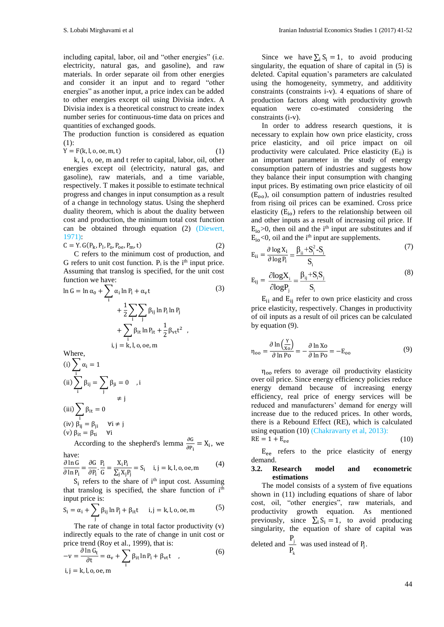including capital, labor, oil and "other energies" (i.e. electricity, natural gas, and gasoline), and raw materials. In order separate oil from other energies and consider it an input and to regard "other energies" as another input, a price index can be added to other energies except oil using Divisia index. A Divisia index is a theoretical construct to create index number series for continuous-time data on prices and quantities of exchanged goods.

The production function is considered as equation (1):

$$
Y = F(k, l, o, oe, m, t)
$$
\n
$$
(1)
$$

k, l, o, oe, m and t refer to capital, labor, oil, other energies except oil (electricity, natural gas, and gasoline), raw materials, and a time variable, respectively. T makes it possible to estimate technical progress and changes in input consumption as a result of a change in technology status. Using the shepherd duality theorem, which is about the duality between cost and production, the minimum total cost function can be obtained through equation (2) (Diewert, 1971):

$$
C = Y. G(P_k, P_1, P_0, P_{oe}, P_m, t)
$$
 (2)

C refers to the minimum cost of production, and G refers to unit cost function.  $P_i$  is the i<sup>th</sup> input price. Assuming that translog is specified, for the unit cost function we have:

$$
\ln G = \ln \alpha_0 + \sum_{i} \alpha_i \ln P_i + \alpha_v t
$$
(3)  
+  $\frac{1}{2} \sum_{i} \sum_{j} \beta_{ij} \ln P_i \ln P_j$   
+  $\sum_{i} \beta_{it} \ln P_{it} + \frac{1}{2} \beta_{vt} t^2$ ,  
i, j = k, l, o, oe, m

Where,

(i) 
$$
\sum_{i} \alpha_{i} = 1
$$
  
\n(ii) 
$$
\sum_{i} \beta_{ij} = \sum_{j} \beta_{ji} = 0 \quad , i \neq j
$$
  
\n(iii) 
$$
\sum_{i} \beta_{it} = 0
$$
  
\n(iv) 
$$
\beta_{ij} = \beta_{ji} \quad \forall i \neq j
$$
  
\n(v) 
$$
\beta_{it} = \beta_{ti} \quad \forall i
$$

According to the shepherd's lemma  $\frac{\partial G}{\partial P_i} = X_i$ , we have:

$$
\frac{\partial \ln G}{\partial \ln P_i} = \frac{\partial G}{\partial P_i} \cdot \frac{P_i}{G} = \frac{X_i P_i}{\sum_j X_j P_j} = S_i \quad i, j = k, l, o, oe, m \tag{4}
$$

 $S_i$  refers to the share of i<sup>th</sup> input cost. Assuming that translog is specified, the share function of i<sup>th</sup> input price is:

$$
S_i = \alpha_i + \sum_j \beta_{ij} \ln P_j + \beta_{it} t \quad i, j = k, l, o, oe, m
$$
 (5)

The rate of change in total factor productivity (v) indirectly equals to the rate of change in unit cost or price trend (Roy et al., 1999), that is:

$$
-v = \frac{\partial \ln G_t}{\partial t} = \alpha_v + \sum_i \beta_{it} \ln P_i + \beta_{vt}t \quad ,
$$
  
i, j = k, l, o, oe, m

Since we have  $\Sigma_i$  S<sub>i</sub> = 1, to avoid producing singularity, the equation of share of capital in (5) is deleted. Capital equation's parameters are calculated using the homogeneity, symmetry, and additivity constraints (constraints i-v). 4 equations of share of production factors along with productivity growth equation were co-estimated considering constraints (i-v).

In order to address research questions, it is necessary to explain how own price elasticity, cross price elasticity, and oil price impact on oil productivity were calculated. Price elasticity  $(E_{ii})$  is an important parameter in the study of energy consumption pattern of industries and suggests how they balance their input consumption with changing input prices. By estimating own price elasticity of oil  $(E_{\text{oo}})$ , oil consumption pattern of industries resulted from rising oil prices can be examined. Cross price elasticity  $(E_{io})$  refers to the relationship between oil and other inputs as a result of increasing oil price. If  $E_{io}$  >0, then oil and the i<sup>th</sup> input are substitutes and if  $E_{io}$ <0, oil and the i<sup>th</sup> input are supplements.

$$
E_{ii} = \frac{\partial \log X_i}{\partial \log P_i} = \frac{\beta_{ii} + S_i^2 - S_i}{S_i}
$$
(7)

$$
E_{ij} = \frac{\partial \log X_i}{\partial \log P_j} = \frac{\beta_{ij} + S_i S_j}{S_i}
$$
 (8)

 $E_{ii}$  and  $E_{ii}$  refer to own price elasticity and cross price elasticity, respectively. Changes in productivity of oil inputs as a result of oil prices can be calculated by equation (9).

$$
\eta_{oo} = \frac{\partial \ln \left(\frac{Y}{X_0}\right)}{\partial \ln P_0} = -\frac{\partial \ln X_0}{\partial \ln P_0} = -E_{oo}
$$
(9)

 $\eta_{oo}$  refers to average oil productivity elasticity over oil price. Since energy efficiency policies reduce energy demand because of increasing energy efficiency, real price of energy services will be reduced and manufacturers' demand for energy will increase due to the reduced prices. In other words, there is a Rebound Effect (RE), which is calculated using equation (10) (Chakravarty et al, 2013):  $RE = 1 + E_{ee}$ 

$$
(10)
$$

Eee refers to the price elasticity of energy demand.

#### **3.2. Research model and econometric estimations**

The model consists of a system of five equations shown in (11) including equations of share of labor cost, oil, "other energies", raw materials, and productivity growth equation. As mentioned previously, since  $\sum_i S_i = 1$ , to avoid producing singularity, the equation of share of capital was deleted and  $\frac{1}{1}$ P  $\frac{1}{P_1}$  was used instead of P<sub>j</sub>.

k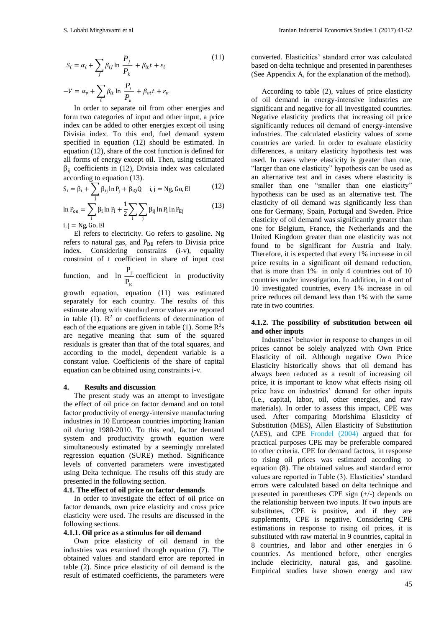$$
S_i = \alpha_i + \sum_j \beta_{ij} \ln \frac{P_j}{P_k} + \beta_{it} t + \varepsilon_i
$$
\n
$$
-V = \alpha_v + \sum_i \beta_{it} \ln \frac{P_i}{P_k} + \beta_{vt} t + \varepsilon_v
$$
\n(11)

In order to separate oil from other energies and form two categories of input and other input, a price index can be added to other energies except oil using Divisia index. To this end, fuel demand system specified in equation (12) should be estimated. In equation (12), share of the cost function is defined for all forms of energy except oil. Then, using estimated  $β<sub>ii</sub> coefficients in (12), Divisia index was calculated$ according to equation (13).

$$
S_i = \beta_i + \sum_j \beta_{ij} \ln P_j + \beta_{iQ} Q \quad i, j = Ng, Go, El \tag{12}
$$

$$
\ln P_{oe} = \sum_{i} \beta_i \ln P_i + \frac{1}{2} \sum_{i} \sum_{j} \beta_{ij} \ln P_i \ln P_{Ej}
$$
(13)

 $i, j = Ng, Go, El$ 

El refers to electricity. Go refers to gasoline. Ng refers to natural gas, and  $P_{OE}$  refers to Divisia price index. Considering constrains (i-v), equality constraint of t coefficient in share of input cost

function, and  $\ln \frac{1}{n}$ K P  $\frac{1}{P_{V}}$  coefficient in productivity

growth equation, equation (11) was estimated separately for each country. The results of this estimate along with standard error values are reported in table (1).  $\mathbb{R}^2$  or coefficients of determination of each of the equations are given in table (1). Some  $\mathbb{R}^2$ s are negative meaning that sum of the squared residuals is greater than that of the total squares, and according to the model, dependent variable is a constant value. Coefficients of the share of capital equation can be obtained using constraints i-v.

#### **4. Results and discussion**

The present study was an attempt to investigate the effect of oil price on factor demand and on total factor productivity of energy-intensive manufacturing industries in 10 European countries importing Iranian oil during 1980-2010. To this end, factor demand system and productivity growth equation were simultaneously estimated by a seemingly unrelated regression equation (SURE) method. Significance levels of converted parameters were investigated using Delta technique. The results off this study are presented in the following section.

# **4.1. The effect of oil price on factor demands**

In order to investigate the effect of oil price on factor demands, own price elasticity and cross price elasticity were used. The results are discussed in the following sections.

# **4.1.1. Oil price as a stimulus for oil demand**

Own price elasticity of oil demand in the industries was examined through equation (7). The obtained values and standard error are reported in table (2). Since price elasticity of oil demand is the result of estimated coefficients, the parameters were

converted. Elasticities' standard error was calculated based on delta technique and presented in parentheses (See Appendix A, for the explanation of the method).

According to table (2), values of price elasticity of oil demand in energy-intensive industries are significant and negative for all investigated countries. Negative elasticity predicts that increasing oil price significantly reduces oil demand of energy-intensive industries. The calculated elasticity values of some countries are varied. In order to evaluate elasticity differences, a unitary elasticity hypothesis test was used. In cases where elasticity is greater than one, "larger than one elasticity" hypothesis can be used as an alternative test and in cases where elasticity is smaller than one "smaller than one elasticity" hypothesis can be used as an alternative test. The elasticity of oil demand was significantly less than one for Germany, Spain, Portugal and Sweden. Price elasticity of oil demand was significantly greater than one for Belgium, France, the Netherlands and the United Kingdom greater than one elasticity was not found to be significant for Austria and Italy. Therefore, it is expected that every 1% increase in oil price results in a significant oil demand reduction, that is more than 1% in only 4 countries out of 10 countries under investigation. In addition, in 4 out of 10 investigated countries, every 1% increase in oil price reduces oil demand less than 1% with the same rate in two countries.

#### **4.1.2. The possibility of substitution between oil and other inputs**

Industries' behavior in response to changes in oil prices cannot be solely analyzed with Own Price Elasticity of oil. Although negative Own Price Elasticity historically shows that oil demand has always been reduced as a result of increasing oil price, it is important to know what effects rising oil price have on industries' demand for other inputs (i.e., capital, labor, oil, other energies, and raw materials). In order to assess this impact, CPE was used. After comparing Morishima Elasticity of Substitution (MES), Allen Elasticity of Substitution (AES), and CPE Frondel (2004) argued that for practical purposes CPE may be preferable compared to other criteria. CPE for demand factors, in response to rising oil prices was estimated according to equation (8). The obtained values and standard error values are reported in Table (3). Elasticities' standard errors were calculated based on delta technique and presented in parentheses CPE sign (+/-) depends on the relationship between two inputs. If two inputs are substitutes, CPE is positive, and if they are supplements, CPE is negative. Considering CPE estimations in response to rising oil prices, it is substituted with raw material in 9 countries, capital in 8 countries, and labor and other energies in 6 countries. As mentioned before, other energies include electricity, natural gas, and gasoline. Empirical studies have shown energy and raw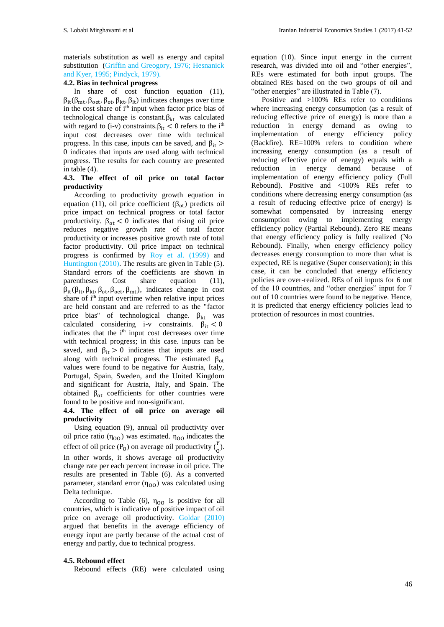materials substitution as well as energy and capital substitution (Griffin and Greogory, 1976; Hesnanick and Kyer, 1995; Pindyck, 1979).

# **4.2. Bias in technical progress**

In share of cost function equation (11), βit(βmt, βoet, βot, βkt, βlt) indicates changes over time in the cost share of i<sup>th</sup> input when factor price bias of technological change is constant. $\beta_{kt}$  was calculated with regard to (i-v) constraints. $\beta_{it} < 0$  refers to the i<sup>th</sup> input cost decreases over time with technical progress. In this case, inputs can be saved, and  $β_{it}$  > 0 indicates that inputs are used along with technical progress. The results for each country are presented in table (4).

# **4.3. The effect of oil price on total factor productivity**

According to productivity growth equation in equation (11), oil price coefficient ( $β<sub>ot</sub>$ ) predicts oil price impact on technical progress or total factor productivity.  $\beta_{\text{ot}} < 0$  indicates that rising oil price reduces negative growth rate of total factor productivity or increases positive growth rate of total factor productivity. Oil price impact on technical progress is confirmed by Roy et al. (1999) and Huntington (2010). The results are given in Table (5). Standard errors of the coefficients are shown in parentheses Cost share equation (11),  $\beta_{it}(\beta_{lt}, \beta_{kt}, \beta_{ot}, \beta_{oet}, \beta_{mt})$ , indicates change in cost share of  $i<sup>th</sup>$  input overtime when relative input prices are held constant and are referred to as the "factor price bias" of technological change.  $\beta_{kt}$  was calculated considering i-v constraints.  $\beta_{it} < 0$ indicates that the i<sup>th</sup> input cost decreases over time with technical progress; in this case. inputs can be saved, and  $\beta_{it} > 0$  indicates that inputs are used along with technical progress. The estimated  $\beta_{\text{ot}}$ values were found to be negative for Austria, Italy, Portugal, Spain, Sweden, and the United Kingdom and significant for Austria, Italy, and Spain. The obtained  $\beta_{ot}$  coefficients for other countries were found to be positive and non-significant.

# **4.4. The effect of oil price on average oil productivity**

Using equation (9), annual oil productivity over oil price ratio (η<sub>OO</sub>) was estimated.  $η<sub>OO</sub>$  indicates the effect of oil price ( $P_0$ ) on average oil productivity  $(\frac{y}{0})$ . In other words, it shows average oil productivity change rate per each percent increase in oil price. The results are presented in Table (6). As a converted parameter, standard error  $(\eta_{00})$  was calculated using Delta technique.

According to Table (6),  $\eta_{00}$  is positive for all countries, which is indicative of positive impact of oil price on average oil productivity. Goldar (2010) argued that benefits in the average efficiency of energy input are partly because of the actual cost of energy and partly, due to technical progress.

# **4.5. Rebound effect**

Rebound effects (RE) were calculated using

equation (10). Since input energy in the current research, was divided into oil and "other energies", REs were estimated for both input groups. The obtained REs based on the two groups of oil and "other energies" are illustrated in Table (7).

Positive and >100% REs refer to conditions where increasing energy consumption (as a result of reducing effective price of energy) is more than a reduction in energy demand as owing to implementation of energy efficiency policy (Backfire). RE=100% refers to condition where increasing energy consumption (as a result of reducing effective price of energy) equals with a reduction in energy demand because of implementation of energy efficiency policy (Full Rebound). Positive and <100% REs refer to conditions where decreasing energy consumption (as a result of reducing effective price of energy) is somewhat compensated by increasing energy consumption owing to implementing energy efficiency policy (Partial Rebound). Zero RE means that energy efficiency policy is fully realized (No Rebound). Finally, when energy efficiency policy decreases energy consumption to more than what is expected, RE is negative (Super conservation); in this case, it can be concluded that energy efficiency policies are over-realized. REs of oil inputs for 6 out of the 10 countries, and "other energies" input for 7 out of 10 countries were found to be negative. Hence, it is predicted that energy efficiency policies lead to protection of resources in most countries.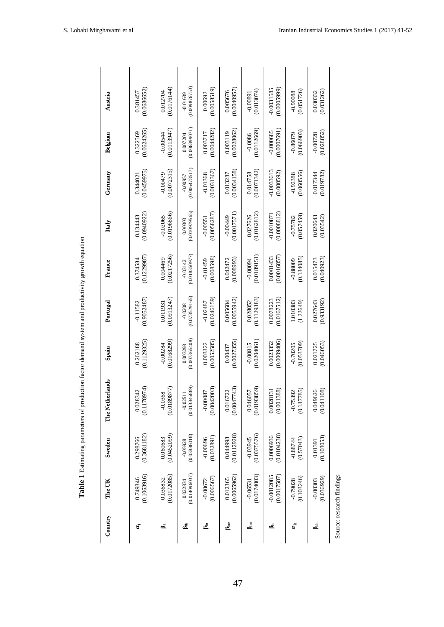| Country          | The UK                      | Sweden                    | The Netherlands                   | Spain                     | Portugal                  | France                    | Italy                      | Germany                    | Belgium                    | Austria                     |
|------------------|-----------------------------|---------------------------|-----------------------------------|---------------------------|---------------------------|---------------------------|----------------------------|----------------------------|----------------------------|-----------------------------|
|                  |                             |                           |                                   |                           |                           |                           |                            |                            |                            |                             |
| ă                | (0.1063916)<br>0.749346     | (0.3681182)<br>0.298766   | 78974)<br>0.028342<br>(0.117)     | (0.1129325)<br>0.262188   | (0.9052487)<br>$-0.11582$ | (0.1229987)<br>0.374584   | (0.0940922)<br>0.134443    | (0.0459975)<br>0.34402     | (0.0624265)<br>0.322569    | (0.0686652)<br>0.381457     |
| ₹ء               | (0.0172085)                 | (0.0452099)               | (0.0189877)                       | (0.0168299)               | (0.0913247)               | (0.0217256)               | (0.0196866)                | (0.0072315)                | (0.0113947)                | (0.0176144)                 |
|                  | 0.036832                    | 0.060683                  | $-0.0368$                         | $-0.00284$                | 0.011931                  | 0.004469                  | $-0.02065$                 | $-0.00479$                 | $-0.00544$                 | 0.012704                    |
| ﷺ                | (0.014096037)               | (0.03886018)              | (0.013846889)                     | (0.007365408)             | (0.073529165)             | (0.018350977)             | (0.010979565)              | (0.006478517)              | (0.006899071)              | (0.009876753)               |
|                  | 0.022834                    | $-0.05928$                | $-0.02511$                        | 0.003293                  | $-0.0208$                 | $-0.03142$                | 0.00303                    | $-0.00957$                 | 0.007204                   | $-0.01639$                  |
| ౚఄ               | (0.006567)                  | (0.032891)                | (0.0042003)                       | (0.0052585)               | (0.0246159)               | (0.008598)                | (0.0058287)                | (0.0031367)                | (0.0044282)                | (0.0058519)                 |
|                  | $-0.00672$                  | $-0.00696$                | $-0.00087$                        | 0.003322                  | $-0.02487$                | $-0.01459$                | $-0.00551$                 | $-0.01368$                 | 0.003717                   | 0.00692                     |
| Å                | (0.0065962)                 | (0.0112928)               | (0.0047743)                       | (0.0027355)               | (0.0055942)               | (0.008993)                | (0.0017571)                | (0.0034158)                | (0.0028062)                | (0.0040957)                 |
|                  | 0.012365                    | 0.044998                  | 0.016722                          | 0.00437                   | 0.005684                  | 0.042472                  | $-0.00449$                 | 0.013287                   | 0.003119                   | 0.005676                    |
| ڦ                | (0.0174003)<br>$-0.06531$   | (0.0375576)<br>$-0.03945$ | 93859)<br>0.046057<br>(0.019)     | (0.0204061)<br>$-0.00815$ | (0.1129383)<br>0.028052   | (0.0189151)<br>$-0.00094$ | (0.0162812)<br>0.027626    | (0.0071342)<br>0.014758    | (0.0112669)<br>$-0.0086$   | (0.013074)<br>$-0.00891$    |
| ≛ہ               | (0.0017587)<br>$-0.0012085$ | (0.0104238)<br>0.0006936  | 1388)<br>28131<br>0.002<br>(0.00) | (0.0009406)<br>0.0023352  | (0.0167512)<br>0.0078223  | (0.0016857)<br>0.0001433  | (0.0008812)<br>$-0.001087$ | $-0.0033613$<br>(0.000592) | (0.0007691)<br>$-0.000685$ | (0.0005999)<br>$-0.0031585$ |
| $\alpha_{\rm k}$ | (0.103246)                  | (0.57043)                 | (0.137785)                        | (0.053709)                | (1.22649)                 | (0.134085)                | (0.057459)                 | (0.060556)                 | (0.066903)                 | (0.051726)                  |
|                  | $-0.79028$                  | $-0.88744$                | $-0.75392$                        | $-0.70205$                | 1.010383                  | $-0.88009$                | $-0.75782$                 | $-0.92388$                 | $-0.86079$                 | $-0.90088$                  |
| ∰                | (0.036929)                  | (0.103053)                | (0.041108)                        | (0.046053)                | (0.933192)                | (0.040923)                | 0.020643                   | (0.019782)                 | (0.028852)                 | (0.031262)                  |
|                  | $-0.00303$                  | 0.01391                   | 0.049626                          | 0.021725                  | 0.027643                  | 0.015473                  | (0.03542)                  | 0.017344                   | $-0.00728$                 | 0.030332                    |

Table 1 Estimating parameters of production factor demand system and productivity growth equation **Table 1** Estimating parameters of production factor demand system and productivity growth equation

Source: research findings

Source: research findings

47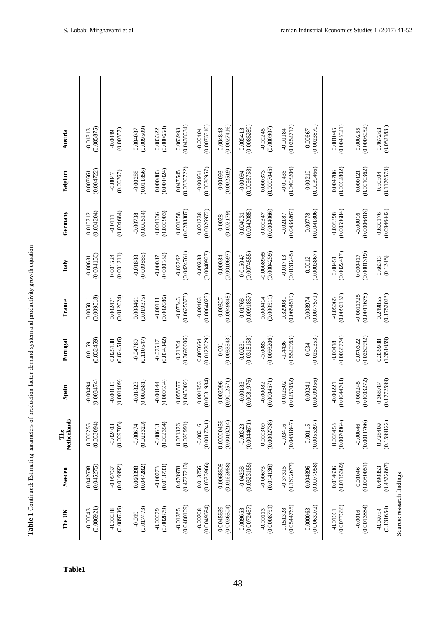| ;                                                  |
|----------------------------------------------------|
| i                                                  |
| ï<br>ł<br>;                                        |
| $\overline{a}$<br>١                                |
| ׇ֘֝<br>.<br>.<br>.                                 |
| i                                                  |
| l<br>I                                             |
|                                                    |
|                                                    |
|                                                    |
|                                                    |
| l                                                  |
| Ì                                                  |
| i<br>í                                             |
| l<br>ı                                             |
| i<br>i                                             |
| ֕                                                  |
| ı<br>J                                             |
|                                                    |
| ֖֪ׅ֪ׅ֪ׅ֚֚֚֚֚֚֚֚֚֚֚֚֚֚֚֚֚֚֚֚֚֚֚֡֕֝֝֝֝֝֝֬֝<br>ļ<br>l |
| Ī<br>Í<br>í                                        |
| I<br>j                                             |
| l                                                  |
| able<br>F<br>I                                     |

| Austria            | (0.005875)<br>$-0.01313$ | (0.00357)<br>$60000 -$   | (0.009509)<br>0.004087   | (0.000658)<br>0.003322   | (0.0438034)<br>0.063993   | (0.0076516)<br>$-0.00404$ | (0.0027416)<br>0.004843          | (0.0086289)<br>0.005413   | (0.000907)<br>$-0.00245$    | (0.0252717)<br>$-0.01184$ | (0.0023879)<br>$-0.00667$ | (0.0043521)<br>0.001045   | (0.0003052)<br>0.000255     | (0.082183)<br>0.467263           |  |
|--------------------|--------------------------|--------------------------|--------------------------|--------------------------|---------------------------|---------------------------|----------------------------------|---------------------------|-----------------------------|---------------------------|---------------------------|---------------------------|-----------------------------|----------------------------------|--|
| Belgium            | (0.004722)<br>0.007661   | (0.00367)<br>$-0.0047$   | (0.011856)<br>$-0.00288$ | (0.001024)<br>0.000803   | (0.0330722)<br>0.047545   | (0.0036957)<br>$-0.00951$ | (0.002519)<br>$-0.00093$         | (0.0056758)<br>$-0.00094$ | (0.0007045)<br>0.000373     | (0.0403206)<br>$-0.01436$ | (0.0039466)<br>$-0.00219$ | (0.0062802)<br>0.004706   | (0.0010362)<br>0.000121     | (0.1176573)<br>0.50504           |  |
| Germany            | (0.004204)<br>0.010712   | (0.004684)<br>$-0.0111$  | (0.009514)<br>$-0.00738$ | (0.000903)<br>0.004136   | (0.0288307)<br>0.001558   | (0.0026972)<br>0.001738   | (0.002179)<br>$-0.0028$          | (0.0042085)<br>0.004031   | (0.0004066)<br>0.000347     | (0.0438267)<br>$-0.02187$ | (0.0041806)<br>$-0.00778$ | (0.0059684)<br>0.008398   | (0.0006818)<br>$-0.00016$   | (0.0946442)<br>0.600176          |  |
| Italy              | (0.004156)<br>$-0.00631$ | (0.001211)<br>0.001524   | (0.009885)<br>$-0.01888$ | (0.000532)<br>$-0.00037$ | (0.0424761)<br>$-0.02262$ | (0.0040927)<br>$-0.00288$ | (0.0010697)<br>$-0.00034$        | (0.0074555)<br>0.015047   | (0.0004259)<br>$-0.0008965$ | (0.0131245)<br>$-0.01713$ | (0.0003867)<br>$-0.0012$  | (0.0022417)<br>0.00451    | (0.0001319)<br>0.000417     | (0.1248)<br>0.66313              |  |
| France             | (0.009518)<br>0.005011   | (0.012024)<br>0.002471   | (0.019375)<br>0.008461   | (0.002086)<br>$-0.00111$ | (0.0625373)<br>$-0.07343$ | (0.0064025)<br>$-0.00483$ | (0.0049848)<br>$-0.00327$        | (0.0091857)<br>0.01768    | (0.000911)<br>0.000414      | (0.0654519)<br>0.329081   | (0.0077571)<br>0.008974   | (0.0092137)<br>$-0.05065$ | (0.0011678)<br>$-0.0011725$ | (0.1752023)<br>0.249855          |  |
| Portugal           | (0.032459)<br>0.0159     | (0.024516)<br>0.025138   | (0.110547)<br>$-0.04789$ | (0.034342)<br>$-0.07517$ | (0.3696606)<br>0.21304    | (0.0127629)<br>0.007664   | (0.0033543)<br>$-0.001$          | (0.0318158)<br>0.00231    | (0.0093206)<br>$-0.0083$    | (0.5520963)<br>$-1.4436$  | (0.0250353)<br>$-0.034$   | (0.0068774)<br>0.00418    | (0.0260992)<br>0.070322     | (1.351059)<br>0.335988           |  |
| Spain              | (0.003474)<br>-0.00494   | (0.001409)<br>$-0.00185$ | (0.009681)<br>$-0.01823$ | (0.000534)<br>$-0.00144$ | (0.045002)<br>0.058577    | (0.0031934)<br>.001353    | (0.0012571)<br>002096<br>$\circ$ | (0.0081976)<br>$-0.00183$ | (0.0004571)<br>$-0.00082$   | (0.0257052)<br>0.012502   | (0.0009056)<br>$-0.00241$ | (0.0044703)<br>$-0.00221$ | (0.0003272)<br>0.001245     | (0.177259)<br>.368784<br>$\circ$ |  |
| Netherlands<br>The | (0.003094)<br>0.006255   | (0.009705)<br>$-0.02403$ | (0.023329)<br>$-0.00674$ | (0.002354)<br>$-0.00613$ | (0.026991)<br>0.031326    | (0.0017241)<br>$-0.00216$ | 0.00000456<br>(0.0010214)        | (0.0044671)<br>$-0.00323$ | (0.0002738)<br>0.000309     | (0.0451847)<br>$-0.03416$ | (0.0055397)<br>$-0.00115$ | (0.0070964)<br>0.008453   | (0.0011766)<br>$-0.00046$   | (0.1599122)<br>0.728409          |  |
| Sweden             | (0.045275)<br>0.042638   | (0.016992)<br>$-0.05767$ | (0.047282)<br>0.060398   | (0.013733)<br>$-0.00273$ | (0.4727213)<br>0.470978   | (0.0533966)<br>0.013756   | (0.0163958)<br>$-0.0068608$      | (0.0323155)<br>$-0.04258$ | (0.014136)<br>$-0.00673$    | (0.1692677)<br>$-0.37316$ | (0.0077958)<br>0.004896   | (0.0115369)<br>0.014636   | (0.0050051)<br>0.01046      | (0.4372867)<br>0.490853          |  |
| The UK             | (0.006921)<br>$-0.00043$ | (0.009736)<br>$-0.00038$ | (0.017473)<br>$-0.019$   | (0.002879)<br>$-0.00079$ | (0.0480109)<br>$-0.01285$ | (0.0049694)<br>$-0.00708$ | (0.0036504)<br>0.0045639         | (0.0072457)<br>0.009653   | (0.0008791)<br>$-0.00113$   | (0.0544765)<br>0.151328   | (0.0063072)<br>0.000063   | (0.0077688)<br>$-0.01661$ | (0.0013884)<br>$-0.0016$    | (0.131654)<br>$-0.09754$         |  |

**Table1**

Source: research findings Source: research findings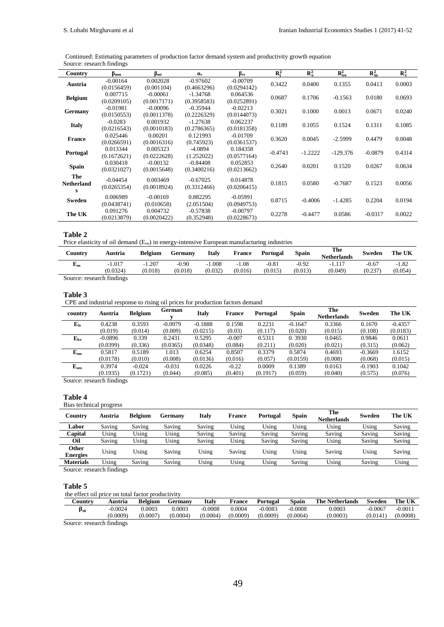Continued: Estimating parameters of production factor demand system and productivity growth equation Source: research findings

| Country           | $\beta_{\rm mm}$        | $\beta_{\rm mt}$       | $\alpha_{\rm v}$          | $\beta_{vt}$              | $R_1^2$   | $R_o^2$   | $R_{oe}^2$ | $R_{m}^{2}$ | $\mathbf{R}_{\mathbf{v}}^2$ |
|-------------------|-------------------------|------------------------|---------------------------|---------------------------|-----------|-----------|------------|-------------|-----------------------------|
| Austria           | $-0.00164$              | 0.002028<br>(0.001104) | $-0.97602$                | $-0.00709$                | 0.3422    | 0.0400    | 0.1355     | 0.0413      | 0.0003                      |
|                   | (0.0156459)<br>0.007715 | $-0.00061$             | (0.4663296)<br>$-1.34768$ | (0.0294142)<br>0.064536   | 0.0687    | 0.1706    | $-0.1563$  | 0.0180      | 0.0693                      |
| <b>Belgium</b>    | (0.0209105)             | (0.0017171)            | (0.3958583)               | (0.0252891)               |           |           |            |             |                             |
| Germany           | $-0.01981$              | $-0.00096$             | $-0.35944$                | $-0.02213$                | 0.3021    | 0.1000    | 0.0013     | 0.0671      | 0.0240                      |
|                   | (0.0150553)             | (0.0011378)            | (0.2226329)               | (0.0144073)               |           |           |            |             |                             |
| <b>Italy</b>      | $-0.0283$               | 0.001932               | $-1.27638$                | 0.062237                  | 0.1189    | 0.1055    | 0.1524     | 0.1311      | 0.1085                      |
|                   | (0.0216543)             | (0.0010183)            | (0.2786365)               | (0.0181358)               |           |           |            |             |                             |
| <b>France</b>     | 0.025446                | 0.00201<br>(0.0016316) | 0.121993                  | $-0.01709$                | 0.3620    | 0.0045    | $-2.5999$  | 0.4479      | 0.0048                      |
|                   | (0.0266591)<br>0.013344 | 0.005323               | (0.745923)<br>$-4.0894$   | (0.0361537)<br>0.184358   |           |           |            |             |                             |
| Portugal          | (0.1672621)             | (0.0222628)            | (1.252022)                | (0.0577164)               | $-0.4743$ | $-1.2222$ | $-129.376$ | $-0.0879$   | 0.4314                      |
|                   | 0.030418                | $-0.00132$             | $-0.84408$                | 0.052853                  |           |           |            |             |                             |
| <b>Spain</b>      | (0.0321027)             | (0.0015648)            | (0.3400216)               | (0.0213662)               | 0.2640    | 0.0201    | 0.1520     | 0.0267      | 0.0634                      |
| The               | $-0.04454$              | 0.003469               | $-0.67025$                | 0.014878                  |           |           |            |             |                             |
| <b>Netherland</b> | (0.0265354)             | (0.0018924)            | (0.3312466)               | (0.0206415)               | 0.1815    | 0.0580    | $-0.7687$  | 0.1523      | 0.0056                      |
| s                 |                         |                        |                           |                           |           |           |            |             |                             |
| Sweden            | 0.006989                | $-0.00169$             | 0.882295                  | $-0.05991$                | 0.8715    | $-0.4006$ | $-1.4285$  | 0.2204      | 0.0194                      |
|                   | (0.0438741)             | (0.010658)             | (2.051504)                | (0.0949753)               |           |           |            |             |                             |
| The UK            | 0.091276<br>(0.0213879) | 0.004732               | $-0.57838$                | $-0.00797$<br>(0.0228673) | 0.2278    | $-0.4477$ | 0.0586     | $-0.0317$   | 0.0022                      |
|                   |                         | (0.0020422)            | (0.352948)                |                           |           |           |            |             |                             |

#### **Table 2**

Price elasticity of oil demand (E<sub>oo</sub>) in energy-intensive European manufacturing industries

| Country                   | Austria  | <b>Belgium</b> | Germanv | <b>Italy</b> | <b>France</b> | Portugal | Spain   | The<br><b>Netherlands</b> | Sweden  | The UK  |
|---------------------------|----------|----------------|---------|--------------|---------------|----------|---------|---------------------------|---------|---------|
| $\mathbf{L}_{00}$         | $-1.017$ | $-1.207$       | $-0.90$ | $-1.008$     | $-1.08$       | $-0.81$  | $-0.92$ | $-1.117$                  | $-0.67$ | $-1.82$ |
|                           | (0.0324) | (0.018)        | (0.018) | (0.032)      | (0.016)       | (0.015)  | (0.013) | (0.049)                   | (0.237) | (0.054) |
| Source: research findings |          |                |         |              |               |          |         |                           |         |         |

**Table 3**

CPE and industrial response to rising oil prices for production factors demand

| country        | Austria   | <b>Belgium</b> | <b>German</b> | <b>Italy</b> | <b>France</b> | <b>Portugal</b> | <b>Spain</b> | The<br><b>Netherlands</b> | <b>Sweden</b> | The UK    |
|----------------|-----------|----------------|---------------|--------------|---------------|-----------------|--------------|---------------------------|---------------|-----------|
| $E_{lo}$       | 0.4238    | 0.3593         | $-0.0979$     | $-0.1888$    | 0.1598        | 0.2231          | $-0.1647$    | 0.3366                    | 0.1670        | $-0.4357$ |
|                | (0.019)   | (0.014)        | (0.009)       | (0.0215)     | (0.03)        | (0.117)         | (0.020)      | (0.015)                   | (0.108)       | (0.0183)  |
| ${\bf E_{ko}}$ | $-0.0896$ | 0.339          | 0.2431        | 0.5295       | $-0.007$      | 0.5311          | 0.3930       | 0.0465                    | 0.9846        | 0.0611    |
|                | (0.0399)  | (0.336)        | (0.0365)      | (0.0348)     | (0.084)       | (0.211)         | (0.020)      | (0.021)                   | (0.315)       | (0.062)   |
| ${\bf E_{mo}}$ | 0.5817    | 0.5189         | 1.013         | 0.6254       | 0.8507        | 0.3379          | 0.5874       | 0.4693                    | $-0.3669$     | 1.6152    |
|                | (0.0178)  | (0.010)        | (0.008)       | (0.0136)     | (0.016)       | (0.057)         | (0.0159)     | (0.008)                   | (0.068)       | (0.015)   |
| $E_{00}$       | 0.3974    | $-0.024$       | $-0.031$      | 0.0226       | $-0.22$       | 0.0009          | 0.1389       | 0.0163                    | $-0.1903$     | 0.1042    |
|                | (0.1935)  | (0.1721)       | (0.044)       | (0.085)      | (0.401)       | (0.1917)        | (0.059)      | (0.040)                   | (0.575)       | (0.076)   |

Source: research findings

# **Table 4**

Bias technical progress

| Country                  | Austria | <b>Belgium</b> | Germanv | Italy  | <b>France</b> | Portugal | <b>Spain</b> | The<br><b>Netherlands</b> | Sweden | The UK |
|--------------------------|---------|----------------|---------|--------|---------------|----------|--------------|---------------------------|--------|--------|
| Labor                    | Saving  | Saving         | Saving  | Saving | Using         | Using    | Using        | Using                     | Using  | Saving |
| Capital                  | Using   | Using          | Using   | Saving | Saving        | Saving   | Saving       | Saving                    | Saving | Saving |
| Oil                      | Saving  | Using          | Using   | Saving | Using         | Saving   | Saving       | Using                     | Saving | Saving |
| Other<br><b>Energies</b> | Using   | Using          | Saving  | Using  | Saving        | Using    | Using        | Saving                    | Using  | Saving |
| <b>Materials</b>         | Using   | Saving         | Saving  | Using  | Using         | Using    | Saving       | Using                     | Saving | Using  |
| Course research findings |         |                |         |        |               |          |              |                           |        |        |

Source: research findings

#### **Table 5**

the effect oil price on total factor productivity

| ountrv | Austria   | <b>Belgium</b> | Germany  | Italv     | France   | Portugal | <b>Spain</b> | <b>The Netherlands</b> | Sweden    | The UK   |
|--------|-----------|----------------|----------|-----------|----------|----------|--------------|------------------------|-----------|----------|
| Pot    | $-0.0024$ | 0.0003         | 0.0003   | $-0.0008$ | 0.0004   | 0.0083   | 0.0008       | 0.0003                 | $-0.0067$ | $-0.001$ |
|        | (0.0009)  | (0.0007)       | (0.0004) | (0.0004)  | (0.0009) | (0.0009) | (0.0004)     | (0.0003)               | (0.0141)  | (0.0008) |
|        |           |                |          |           |          |          |              |                        |           |          |

Source: research findings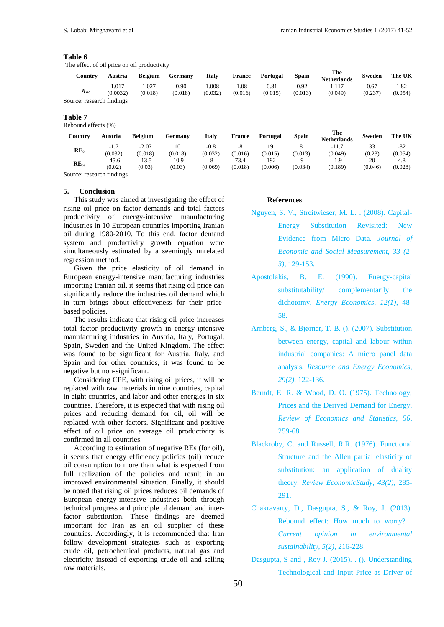| anı<br>16 |  |
|-----------|--|
|-----------|--|

The effect of oil price on oil productivity

| Countrv                   | Austria           | <b>Belgium</b>  | Germany         | Italv           | <b>France</b>  | Portugal        | <b>Spain</b>    | The<br><b>Netherlands</b> | Sweden          | The UK          |
|---------------------------|-------------------|-----------------|-----------------|-----------------|----------------|-----------------|-----------------|---------------------------|-----------------|-----------------|
| $\eta_{oo}$               | 1.017<br>(0.0032) | .027<br>(0.018) | 0.90<br>(0.018) | .008<br>(0.032) | .08<br>(0.016) | 0.81<br>(0.015) | 0.92<br>(0.013) | 117<br>(0.049)            | 0.67<br>(0.237) | 1.82<br>(0.054) |
| Source: research findings |                   |                 |                 |                 |                |                 |                 |                           |                 |                 |

#### **Table 7**

Rebound effects (%)

|                                                                                                                                                                                                                                                                                                                                                                                                                                                                                                                                                     | <b>Netherlands</b>               |  |
|-----------------------------------------------------------------------------------------------------------------------------------------------------------------------------------------------------------------------------------------------------------------------------------------------------------------------------------------------------------------------------------------------------------------------------------------------------------------------------------------------------------------------------------------------------|----------------------------------|--|
| $-2.07$<br>10<br>$-0.8$<br>$-11.7$<br>$-1.7$<br>-8<br>RE <sub>o</sub><br>(0.032)<br>(0.018)<br>(0.032)<br>(0.013)<br>(0.018)<br>(0.016)<br>(0.049)<br>(0.015)                                                                                                                                                                                                                                                                                                                                                                                       | 33<br>$-82$<br>(0.23)<br>(0.054) |  |
| $-10.9$<br>73.4<br>$-192$<br>$-13.5$<br>$-45.6$<br>$-1.9$<br>$-Q$<br>-8<br>$RE_{oe}$<br>(0.02)<br>(0.034)<br>(0.03)<br>(0.03)<br>(0.018)<br>(0.006)<br>(0.189)<br>(0.069)<br>$C_{1}, C_{2}, C_{3}, C_{4}, C_{5}, C_{6}, C_{7}, C_{8}, C_{9}, C_{10}, C_{11}, C_{12}, C_{13}, C_{14}, C_{15}, C_{16}, C_{17}, C_{18}, C_{19}, C_{10}, C_{11}, C_{12}, C_{13}, C_{14}, C_{15}, C_{16}, C_{17}, C_{18}, C_{19}, C_{10}, C_{11}, C_{12}, C_{13}, C_{14}, C_{15}, C_{16}, C_{17}, C_{18}, C_{19}, C_{10}, C_{10}, C_{11}, C_{12}, C_{13}, C_{14}, C_{15$ | 20<br>4.8<br>(0.028)<br>(0.046)  |  |

Source: research findings

#### **5. Conclusion**

This study was aimed at investigating the effect of rising oil price on factor demands and total factors productivity of energy-intensive manufacturing industries in 10 European countries importing Iranian oil during 1980-2010. To this end, factor demand system and productivity growth equation were simultaneously estimated by a seemingly unrelated regression method.

Given the price elasticity of oil demand in European energy-intensive manufacturing industries importing Iranian oil, it seems that rising oil price can significantly reduce the industries oil demand which in turn brings about effectiveness for their pricebased policies.

The results indicate that rising oil price increases total factor productivity growth in energy-intensive manufacturing industries in Austria, Italy, Portugal, Spain, Sweden and the United Kingdom. The effect was found to be significant for Austria, Italy, and Spain and for other countries, it was found to be negative but non-significant.

Considering CPE, with rising oil prices, it will be replaced with raw materials in nine countries, capital in eight countries, and labor and other energies in six countries. Therefore, it is expected that with rising oil prices and reducing demand for oil, oil will be replaced with other factors. Significant and positive effect of oil price on average oil productivity is confirmed in all countries.

According to estimation of negative REs (for oil), it seems that energy efficiency policies (oil) reduce oil consumption to more than what is expected from full realization of the policies and result in an improved environmental situation. Finally, it should be noted that rising oil prices reduces oil demands of European energy-intensive industries both through technical progress and principle of demand and interfactor substitution. These findings are deemed important for Iran as an oil supplier of these countries. Accordingly, it is recommended that Iran follow development strategies such as exporting crude oil, petrochemical products, natural gas and electricity instead of exporting crude oil and selling raw materials.

#### **References**

- Nguyen, S. V., Streitwieser, M. L. . (2008). Capital-
	- Energy Substitution Revisited: New Evidence from Micro Data. *Journal of Economic and Social Measurement, 33 (2- 3)*, 129-153.
- Apostolakis, B. E. (1990). Energy-capital substitutability/ complementarily the dichotomy. *Energy Economics, 12(1)*, 48- 58.
- Arnberg, S., & Bjørner, T. B. (). (2007). Substitution between energy, capital and labour within industrial companies: A micro panel data analysis. *Resource and Energy Economics, 29(2)*, 122-136.
- Berndt, E. R. & Wood, D. O. (1975). Technology, Prices and the Derived Demand for Energy. *Review of Economics and Statistics, 56*, 259-68.
- Blackroby, C. and Russell, R.R. (1976). Functional Structure and the Allen partial elasticity of substitution: an application of duality theory. *Review EconomicStudy, 43(2)*, 285- 291.
- Chakravarty, D., Dasgupta, S., & Roy, J. (2013). Rebound effect: How much to worry? . *Current opinion in environmental sustainability, 5(2)*, 216-228.
- Dasgupta, S and , Roy J. (2015). . (). Understanding Technological and Input Price as Driver of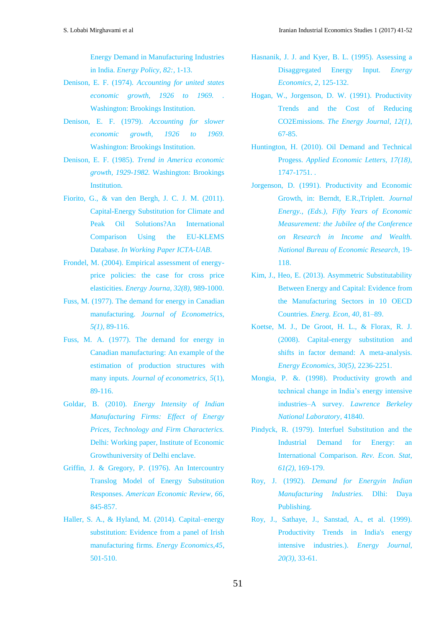Energy Demand in Manufacturing Industries in India. *Energy Policy, 82:*, 1-13.

- Denison, E. F. (1974). *Accounting for united states economic growth, 1926 to 1969. .* Washington: Brookings Institution.
- Denison, E. F. (1979). *Accounting for slower economic growth, 1926 to 1969.* Washington: Brookings Institution.
- Denison, E. F. (1985). *Trend in America economic growth, 1929-1982.* Washington: Brookings Institution.
- Fiorito, G., & van den Bergh, J. C. J. M. (2011). Capital-Energy Substitution for Climate and Peak Oil Solutions?An International Comparison Using the EU-KLEMS Database. *In Working Paper ICTA-UAB*.
- Frondel, M. (2004). Empirical assessment of energyprice policies: the case for cross price elasticities. *Energy Journa, 32(8)*, 989-1000.
- Fuss, M. (1977). The demand for energy in Canadian manufacturing. *Journal of Econometrics, 5(1)*, 89-116.
- Fuss, M. A. (1977). The demand for energy in Canadian manufacturing: An example of the estimation of production structures with many inputs. *Journal of econometrics, 5*(1), 89-116.
- Goldar, B. (2010). *Energy Intensity of Indian Manufacturing Firms: Effect of Energy Prices, Technology and Firm Characterics.* Delhi: Working paper, Institute of Economic Growthuniversity of Delhi enclave.
- Griffin, J. & Gregory, P. (1976). An Intercountry Translog Model of Energy Substitution Responses. *American Economic Review, 66*, 845-857.
- Haller, S. A., & Hyland, M. (2014). Capital–energy substitution: Evidence from a panel of Irish manufacturing firms. *Energy Economics,45*, 501-510.
- Hasnanik, J. J. and Kyer, B. L. (1995). Assessing a Disaggregated Energy Input. *Energy Economics, 2*, 125-132.
- Hogan, W., Jorgenson, D. W. (1991). Productivity Trends and the Cost of Reducing CO2Emissions. *The Energy Journal, 12(1)*, 67-85.
- Huntington, H. (2010). Oil Demand and Technical Progess. *Applied Economic Letters, 17(18)*, 1747-1751. .
- Jorgenson, D. (1991). Productivity and Economic Growth, in: Berndt, E.R.,Triplett. *Journal Energy., (Eds.), Fifty Years of Economic Measurement: the Jubilee of the Conference on Research in Income and Wealth. National Bureau of Economic Research*, 19- 118.
- Kim, J., Heo, E. (2013). Asymmetric Substitutability Between Energy and Capital: Evidence from the Manufacturing Sectors in 10 OECD Countries. *Energ. Econ, 40*, 81–89.
- Koetse, M. J., De Groot, H. L., & Florax, R. J. (2008). Capital-energy substitution and shifts in factor demand: A meta-analysis. *Energy Economics, 30(5)*, 2236-2251.
- Mongia, P. &. (1998). Productivity growth and technical change in India's energy intensive industries–A survey. *Lawrence Berkeley National Laboratory*, 41840.
- Pindyck, R. (1979). Interfuel Substitution and the Industrial Demand for Energy: an International Comparison. *Rev. Econ. Stat, 61(2)*, 169-179.
- Roy, J. (1992). *Demand for Energyin Indian Manufacturing Industries.* Dlhi: Daya Publishing.
- Roy, J., Sathaye, J., Sanstad, A., et al. (1999). Productivity Trends in India's energy intensive industries.). *Energy Journal, 20(3)*, 33-61.